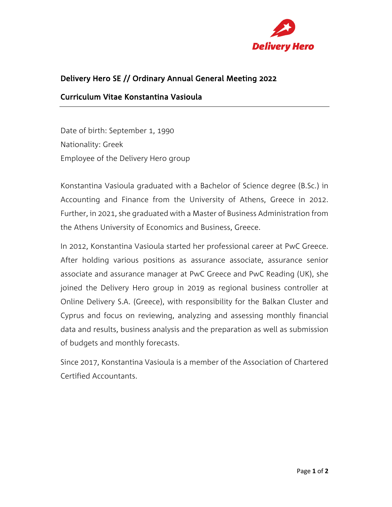

## Delivery Hero SE // Ordinary Annual General Meeting 2022

#### Curriculum Vitae Konstantina Vasioula

Date of birth: September 1, 1990 Nationality: Greek Employee of the Delivery Hero group

Konstantina Vasioula graduated with a Bachelor of Science degree (B.Sc.) in Accounting and Finance from the University of Athens, Greece in 2012. Further, in 2021, she graduated with a Master of Business Administration from the Athens University of Economics and Business, Greece.

In 2012, Konstantina Vasioula started her professional career at PwC Greece. After holding various positions as assurance associate, assurance senior associate and assurance manager at PwC Greece and PwC Reading (UK), she joined the Delivery Hero group in 2019 as regional business controller at Online Delivery S.A. (Greece), with responsibility for the Balkan Cluster and Cyprus and focus on reviewing, analyzing and assessing monthly financial data and results, business analysis and the preparation as well as submission of budgets and monthly forecasts.

Since 2017, Konstantina Vasioula is a member of the Association of Chartered Certified Accountants.